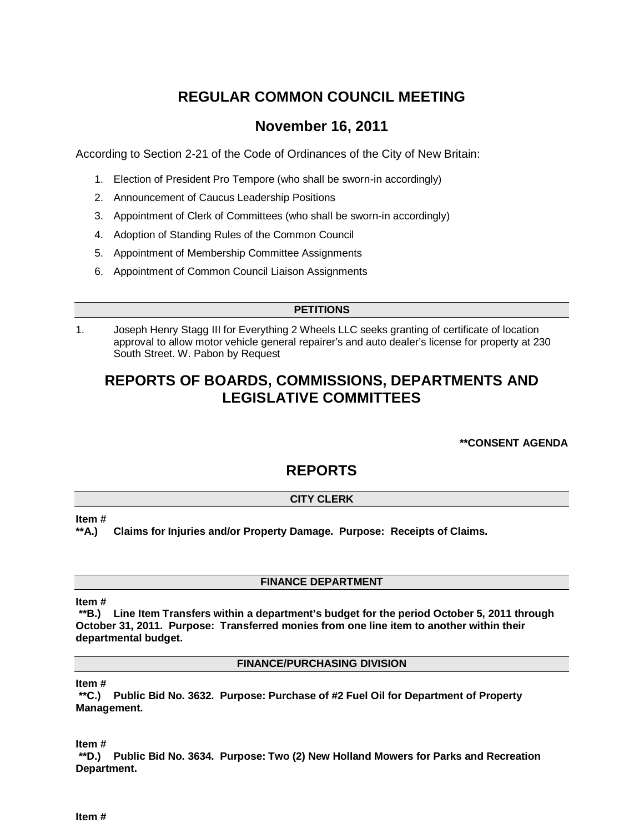# **REGULAR COMMON COUNCIL MEETING**

## **November 16, 2011**

According to Section 2-21 of the Code of Ordinances of the City of New Britain:

- 1. Election of President Pro Tempore (who shall be sworn-in accordingly)
- 2. Announcement of Caucus Leadership Positions
- 3. Appointment of Clerk of Committees (who shall be sworn-in accordingly)
- 4. Adoption of Standing Rules of the Common Council
- 5. Appointment of Membership Committee Assignments
- 6. Appointment of Common Council Liaison Assignments

#### **PETITIONS**

1. Joseph Henry Stagg III for Everything 2 Wheels LLC seeks granting of certificate of location approval to allow motor vehicle general repairer's and auto dealer's license for property at 230 South Street. W. Pabon by Request

# **REPORTS OF BOARDS, COMMISSIONS, DEPARTMENTS AND LEGISLATIVE COMMITTEES**

### **\*\*CONSENT AGENDA**

### **REPORTS**

### **CITY CLERK**

**Item #**

**\*\*A.) Claims for Injuries and/or Property Damage. Purpose: Receipts of Claims.** 

### **FINANCE DEPARTMENT**

#### **Item #**

**\*\*B.) Line Item Transfers within a department's budget for the period October 5, 2011 through October 31, 2011. Purpose: Transferred monies from one line item to another within their departmental budget.** 

#### **FINANCE/PURCHASING DIVISION**

#### **Item #**

**\*\*C.) Public Bid No. 3632. Purpose: Purchase of #2 Fuel Oil for Department of Property Management.**

**Item #**

**\*\*D.) Public Bid No. 3634. Purpose: Two (2) New Holland Mowers for Parks and Recreation Department.**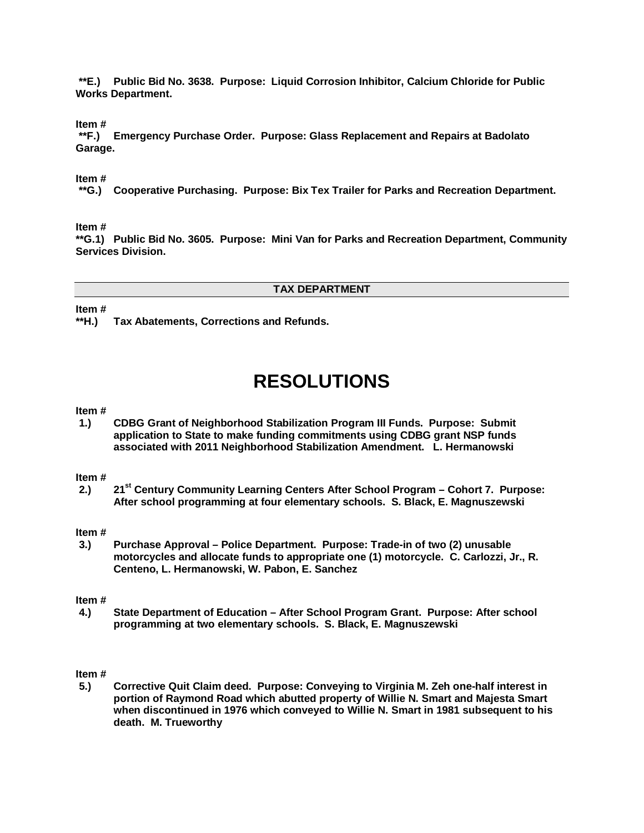**\*\*E.) Public Bid No. 3638. Purpose: Liquid Corrosion Inhibitor, Calcium Chloride for Public Works Department.**

**Item #**

**\*\*F.) Emergency Purchase Order. Purpose: Glass Replacement and Repairs at Badolato Garage.** 

#### **Item #**

**\*\*G.) Cooperative Purchasing. Purpose: Bix Tex Trailer for Parks and Recreation Department.** 

#### **Item #**

**\*\*G.1) Public Bid No. 3605. Purpose: Mini Van for Parks and Recreation Department, Community Services Division.** 

#### **TAX DEPARTMENT**

**Item #**

**\*\*H.) Tax Abatements, Corrections and Refunds.** 

# **RESOLUTIONS**

#### **Item #**

**1.) CDBG Grant of Neighborhood Stabilization Program III Funds. Purpose: Submit application to State to make funding commitments using CDBG grant NSP funds associated with 2011 Neighborhood Stabilization Amendment. L. Hermanowski**

#### **Item #**

**2.) 21st Century Community Learning Centers After School Program – Cohort 7. Purpose: After school programming at four elementary schools. S. Black, E. Magnuszewski**

# **Item #**

**3.) Purchase Approval – Police Department. Purpose: Trade-in of two (2) unusable motorcycles and allocate funds to appropriate one (1) motorcycle. C. Carlozzi, Jr., R. Centeno, L. Hermanowski, W. Pabon, E. Sanchez**

#### **Item #**

**4.) State Department of Education – After School Program Grant. Purpose: After school programming at two elementary schools. S. Black, E. Magnuszewski**

#### **Item #**

**5.) Corrective Quit Claim deed. Purpose: Conveying to Virginia M. Zeh one-half interest in portion of Raymond Road which abutted property of Willie N. Smart and Majesta Smart when discontinued in 1976 which conveyed to Willie N. Smart in 1981 subsequent to his death. M. Trueworthy**